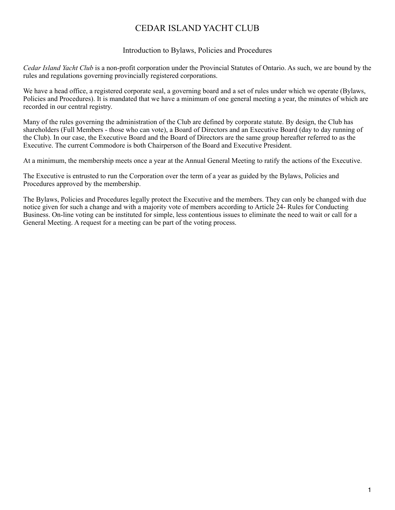# CEDAR ISLAND YACHT CLUB

# Introduction to Bylaws, Policies and Procedures

*Cedar Island Yacht Club* is a non-profit corporation under the Provincial Statutes of Ontario. As such, we are bound by the rules and regulations governing provincially registered corporations.

We have a head office, a registered corporate seal, a governing board and a set of rules under which we operate (Bylaws, Policies and Procedures). It is mandated that we have a minimum of one general meeting a year, the minutes of which are recorded in our central registry.

Many of the rules governing the administration of the Club are defined by corporate statute. By design, the Club has shareholders (Full Members - those who can vote), a Board of Directors and an Executive Board (day to day running of the Club). In our case, the Executive Board and the Board of Directors are the same group hereafter referred to as the Executive. The current Commodore is both Chairperson of the Board and Executive President.

At a minimum, the membership meets once a year at the Annual General Meeting to ratify the actions of the Executive.

The Executive is entrusted to run the Corporation over the term of a year as guided by the Bylaws, Policies and Procedures approved by the membership.

The Bylaws, Policies and Procedures legally protect the Executive and the members. They can only be changed with due notice given for such a change and with a majority vote of members according to Article 24- Rules for Conducting Business. On-line voting can be instituted for simple, less contentious issues to eliminate the need to wait or call for a General Meeting. A request for a meeting can be part of the voting process.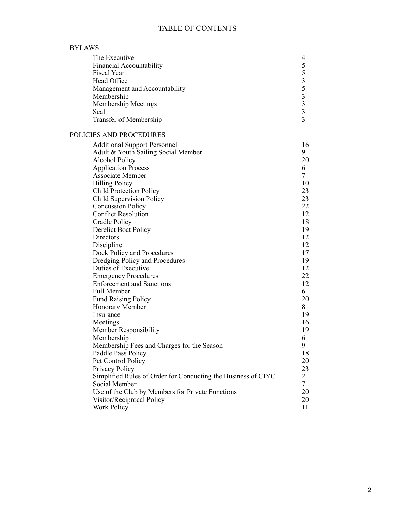# TABLE OF CONTENTS

| <b>BYLAWS</b>                                                 |                         |
|---------------------------------------------------------------|-------------------------|
| The Executive                                                 | 4                       |
| Financial Accountability                                      | 5                       |
| Fiscal Year                                                   | 5                       |
| Head Office                                                   | $\overline{\mathbf{3}}$ |
| Management and Accountability                                 | 5                       |
| Membership                                                    | $\overline{\mathbf{3}}$ |
| <b>Membership Meetings</b>                                    | $\overline{\mathbf{3}}$ |
| Seal                                                          | $\overline{\mathbf{3}}$ |
| <b>Transfer of Membership</b>                                 | $\overline{3}$          |
| POLICIES AND PROCEDURES                                       |                         |
| <b>Additional Support Personnel</b>                           | 16                      |
| Adult & Youth Sailing Social Member                           | 9                       |
| <b>Alcohol Policy</b>                                         | 20                      |
| <b>Application Process</b>                                    | 6                       |
| Associate Member                                              | $\tau$                  |
| <b>Billing Policy</b>                                         | 10                      |
| <b>Child Protection Policy</b>                                | 23                      |
| Child Supervision Policy                                      | 23                      |
| <b>Concussion Policy</b>                                      | 22                      |
| <b>Conflict Resolution</b>                                    | 12                      |
| Cradle Policy                                                 | 18                      |
| <b>Derelict Boat Policy</b>                                   | 19                      |
| Directors                                                     | 12                      |
| Discipline                                                    | 12                      |
| Dock Policy and Procedures                                    | 17                      |
| Dredging Policy and Procedures                                | 19                      |
| Duties of Executive                                           | 12                      |
| <b>Emergency Procedures</b>                                   | 22                      |
| <b>Enforcement and Sanctions</b>                              | 12                      |
| <b>Full Member</b>                                            | 6                       |
| <b>Fund Raising Policy</b>                                    | 20                      |
| Honorary Member                                               | 8                       |
| Insurance                                                     | 19                      |
| Meetings                                                      | 16                      |
| Member Responsibility                                         | 19                      |
| Membership                                                    | 6                       |
| Membership Fees and Charges for the Season                    | 9                       |
| Paddle Pass Policy                                            | 18                      |
| Pet Control Policy                                            | 20                      |
| Privacy Policy                                                | 23                      |
| Simplified Rules of Order for Conducting the Business of CIYC | 21                      |
| Social Member                                                 | $\tau$                  |
| Use of the Club by Members for Private Functions              | 20                      |
| Visitor/Reciprocal Policy                                     | 20                      |
| <b>Work Policy</b>                                            | 11                      |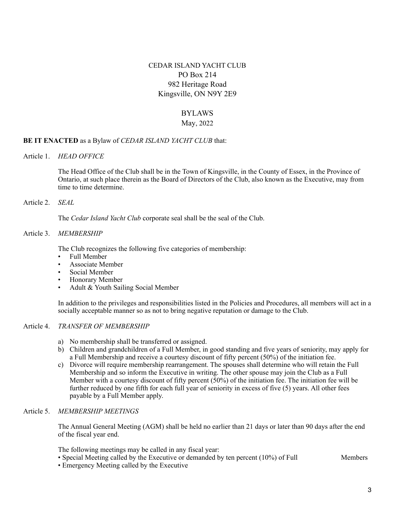# CEDAR ISLAND YACHT CLUB PO Box 214 982 Heritage Road Kingsville, ON N9Y 2E9

# BYLAWS

# May, 2022

# **BE IT ENACTED** as a Bylaw of *CEDAR ISLAND YACHT CLUB* that:

Article 1. *HEAD OFFICE*

The Head Office of the Club shall be in the Town of Kingsville, in the County of Essex, in the Province of Ontario, at such place therein as the Board of Directors of the Club, also known as the Executive, may from time to time determine.

Article 2. *SEAL*

The *Cedar Island Yacht Club* corporate seal shall be the seal of the Club.

#### Article 3. *MEMBERSHIP*

The Club recognizes the following five categories of membership:

- Full Member
- Associate Member
- Social Member
- Honorary Member
- Adult & Youth Sailing Social Member

In addition to the privileges and responsibilities listed in the Policies and Procedures, all members will act in a socially acceptable manner so as not to bring negative reputation or damage to the Club.

# Article 4. *TRANSFER OF MEMBERSHIP*

- a) No membership shall be transferred or assigned.
- b) Children and grandchildren of a Full Member, in good standing and five years of seniority, may apply for a Full Membership and receive a courtesy discount of fifty percent (50%) of the initiation fee.
- c) Divorce will require membership rearrangement. The spouses shall determine who will retain the Full Membership and so inform the Executive in writing. The other spouse may join the Club as a Full Member with a courtesy discount of fifty percent (50%) of the initiation fee. The initiation fee will be further reduced by one fifth for each full year of seniority in excess of five (5) years. All other fees payable by a Full Member apply.

#### Article 5. *MEMBERSHIP MEETINGS*

The Annual General Meeting (AGM) shall be held no earlier than 21 days or later than 90 days after the end of the fiscal year end.

The following meetings may be called in any fiscal year:

- Special Meeting called by the Executive or demanded by ten percent (10%) of Full Members
- Emergency Meeting called by the Executive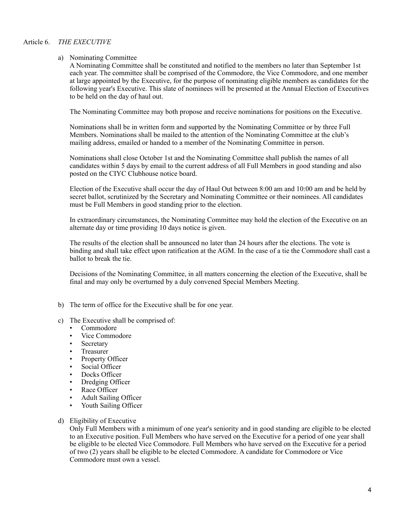#### Article 6. *THE EXECUTIVE*

#### a) Nominating Committee

A Nominating Committee shall be constituted and notified to the members no later than September 1st each year. The committee shall be comprised of the Commodore, the Vice Commodore, and one member at large appointed by the Executive, for the purpose of nominating eligible members as candidates for the following year's Executive. This slate of nominees will be presented at the Annual Election of Executives to be held on the day of haul out.

The Nominating Committee may both propose and receive nominations for positions on the Executive.

Nominations shall be in written form and supported by the Nominating Committee or by three Full Members. Nominations shall be mailed to the attention of the Nominating Committee at the club's mailing address, emailed or handed to a member of the Nominating Committee in person.

Nominations shall close October 1st and the Nominating Committee shall publish the names of all candidates within 5 days by email to the current address of all Full Members in good standing and also posted on the CIYC Clubhouse notice board.

Election of the Executive shall occur the day of Haul Out between 8:00 am and 10:00 am and be held by secret ballot, scrutinized by the Secretary and Nominating Committee or their nominees. All candidates must be Full Members in good standing prior to the election.

In extraordinary circumstances, the Nominating Committee may hold the election of the Executive on an alternate day or time providing 10 days notice is given.

The results of the election shall be announced no later than 24 hours after the elections. The vote is binding and shall take effect upon ratification at the AGM. In the case of a tie the Commodore shall cast a ballot to break the tie.

Decisions of the Nominating Committee, in all matters concerning the election of the Executive, shall be final and may only be overturned by a duly convened Special Members Meeting.

- b) The term of office for the Executive shall be for one year.
- c) The Executive shall be comprised of:
	- Commodore
	- Vice Commodore
	- **Secretary**
	- Treasurer
	- Property Officer
	- Social Officer
	- Docks Officer
	- Dredging Officer
	- Race Officer
	- Adult Sailing Officer
	- Youth Sailing Officer
- d) Eligibility of Executive

Only Full Members with a minimum of one year's seniority and in good standing are eligible to be elected to an Executive position. Full Members who have served on the Executive for a period of one year shall be eligible to be elected Vice Commodore. Full Members who have served on the Executive for a period of two (2) years shall be eligible to be elected Commodore. A candidate for Commodore or Vice Commodore must own a vessel.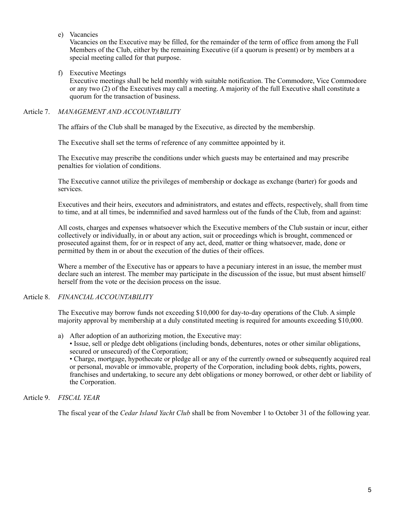e) Vacancies

Vacancies on the Executive may be filled, for the remainder of the term of office from among the Full Members of the Club, either by the remaining Executive (if a quorum is present) or by members at a special meeting called for that purpose.

f) Executive Meetings

Executive meetings shall be held monthly with suitable notification. The Commodore, Vice Commodore or any two (2) of the Executives may call a meeting. A majority of the full Executive shall constitute a quorum for the transaction of business.

# Article 7. *MANAGEMENT AND ACCOUNTABILITY*

The affairs of the Club shall be managed by the Executive, as directed by the membership.

The Executive shall set the terms of reference of any committee appointed by it.

The Executive may prescribe the conditions under which guests may be entertained and may prescribe penalties for violation of conditions.

The Executive cannot utilize the privileges of membership or dockage as exchange (barter) for goods and services.

Executives and their heirs, executors and administrators, and estates and effects, respectively, shall from time to time, and at all times, be indemnified and saved harmless out of the funds of the Club, from and against:

All costs, charges and expenses whatsoever which the Executive members of the Club sustain or incur, either collectively or individually, in or about any action, suit or proceedings which is brought, commenced or prosecuted against them, for or in respect of any act, deed, matter or thing whatsoever, made, done or permitted by them in or about the execution of the duties of their offices.

Where a member of the Executive has or appears to have a pecuniary interest in an issue, the member must declare such an interest. The member may participate in the discussion of the issue, but must absent himself/ herself from the vote or the decision process on the issue.

# Article 8. *FINANCIAL ACCOUNTABILITY*

The Executive may borrow funds not exceeding \$10,000 for day-to-day operations of the Club. A simple majority approval by membership at a duly constituted meeting is required for amounts exceeding \$10,000.

- a) After adoption of an authorizing motion, the Executive may:
	- Issue, sell or pledge debt obligations (including bonds, debentures, notes or other similar obligations, secured or unsecured) of the Corporation;

• Charge, mortgage, hypothecate or pledge all or any of the currently owned or subsequently acquired real or personal, movable or immovable, property of the Corporation, including book debts, rights, powers, franchises and undertaking, to secure any debt obligations or money borrowed, or other debt or liability of the Corporation.

# Article 9. *FISCAL YEAR*

The fiscal year of the *Cedar Island Yacht Club* shall be from November 1 to October 31 of the following year.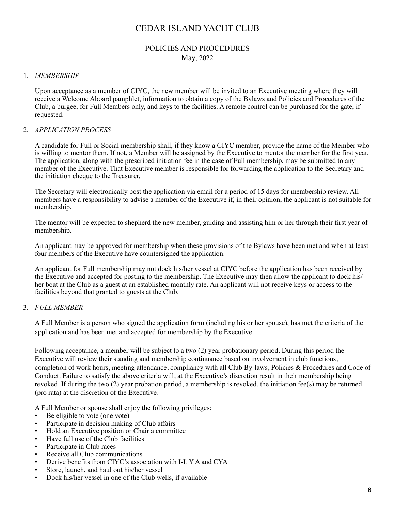# CEDAR ISLAND YACHT CLUB

# POLICIES AND PROCEDURES May, 2022

#### 1. *MEMBERSHIP*

Upon acceptance as a member of CIYC, the new member will be invited to an Executive meeting where they will receive a Welcome Aboard pamphlet, information to obtain a copy of the Bylaws and Policies and Procedures of the Club, a burgee, for Full Members only, and keys to the facilities. A remote control can be purchased for the gate, if requested.

#### 2. *APPLICATION PROCESS*

A candidate for Full or Social membership shall, if they know a CIYC member, provide the name of the Member who is willing to mentor them. If not, a Member will be assigned by the Executive to mentor the member for the first year. The application, along with the prescribed initiation fee in the case of Full membership, may be submitted to any member of the Executive. That Executive member is responsible for forwarding the application to the Secretary and the initiation cheque to the Treasurer.

The Secretary will electronically post the application via email for a period of 15 days for membership review. All members have a responsibility to advise a member of the Executive if, in their opinion, the applicant is not suitable for membership.

The mentor will be expected to shepherd the new member, guiding and assisting him or her through their first year of membership.

An applicant may be approved for membership when these provisions of the Bylaws have been met and when at least four members of the Executive have countersigned the application.

An applicant for Full membership may not dock his/her vessel at CIYC before the application has been received by the Executive and accepted for posting to the membership. The Executive may then allow the applicant to dock his/ her boat at the Club as a guest at an established monthly rate. An applicant will not receive keys or access to the facilities beyond that granted to guests at the Club.

# 3. *FULL MEMBER*

A Full Member is a person who signed the application form (including his or her spouse), has met the criteria of the application and has been met and accepted for membership by the Executive.

Following acceptance, a member will be subject to a two (2) year probationary period. During this period the Executive will review their standing and membership continuance based on involvement in club functions, completion of work hours, meeting attendance, compliancy with all Club By-laws, Policies & Procedures and Code of Conduct. Failure to satisfy the above criteria will, at the Executive's discretion result in their membership being revoked. If during the two (2) year probation period, a membership is revoked, the initiation fee(s) may be returned (pro rata) at the discretion of the Executive.

A Full Member or spouse shall enjoy the following privileges:

- Be eligible to vote (one vote)
- Participate in decision making of Club affairs
- Hold an Executive position or Chair a committee
- Have full use of the Club facilities
- Participate in Club races
- Receive all Club communications
- Derive benefits from CIYC's association with I-L Y A and CYA
- Store, launch, and haul out his/her vessel
- Dock his/her vessel in one of the Club wells, if available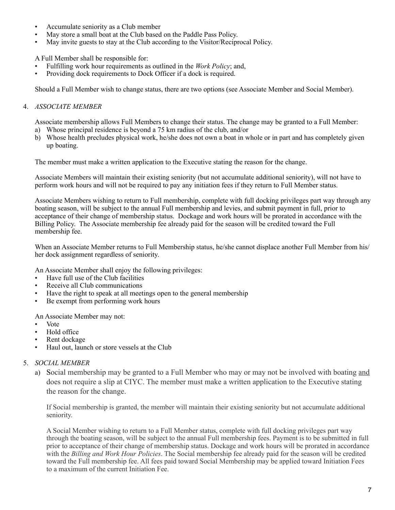- Accumulate seniority as a Club member
- May store a small boat at the Club based on the Paddle Pass Policy.
- May invite guests to stay at the Club according to the Visitor/Reciprocal Policy.

A Full Member shall be responsible for:

- Fulfilling work hour requirements as outlined in the *Work Policy*; and,
- Providing dock requirements to Dock Officer if a dock is required.

Should a Full Member wish to change status, there are two options (see Associate Member and Social Member).

# 4. *ASSOCIATE MEMBER*

Associate membership allows Full Members to change their status. The change may be granted to a Full Member:

- a) Whose principal residence is beyond a 75 km radius of the club, and/or
- b) Whose health precludes physical work, he/she does not own a boat in whole or in part and has completely given up boating.

The member must make a written application to the Executive stating the reason for the change.

Associate Members will maintain their existing seniority (but not accumulate additional seniority), will not have to perform work hours and will not be required to pay any initiation fees if they return to Full Member status.

Associate Members wishing to return to Full membership, complete with full docking privileges part way through any boating season, will be subject to the annual Full membership and levies, and submit payment in full, prior to acceptance of their change of membership status. Dockage and work hours will be prorated in accordance with the Billing Policy. The Associate membership fee already paid for the season will be credited toward the Full membership fee.

When an Associate Member returns to Full Membership status, he/she cannot displace another Full Member from his/ her dock assignment regardless of seniority.

An Associate Member shall enjoy the following privileges:

- Have full use of the Club facilities
- Receive all Club communications
- Have the right to speak at all meetings open to the general membership
- Be exempt from performing work hours

An Associate Member may not:

- Vote
- Hold office
- Rent dockage
- Haul out, launch or store vessels at the Club

# 5. *SOCIAL MEMBER*

a) Social membership may be granted to a Full Member who may or may not be involved with boating and does not require a slip at CIYC. The member must make a written application to the Executive stating the reason for the change.

If Social membership is granted, the member will maintain their existing seniority but not accumulate additional seniority.

A Social Member wishing to return to a Full Member status, complete with full docking privileges part way through the boating season, will be subject to the annual Full membership fees. Payment is to be submitted in full prior to acceptance of their change of membership status. Dockage and work hours will be prorated in accordance with the *Billing and Work Hour Policies*. The Social membership fee already paid for the season will be credited toward the Full membership fee. All fees paid toward Social Membership may be applied toward Initiation Fees to a maximum of the current Initiation Fee.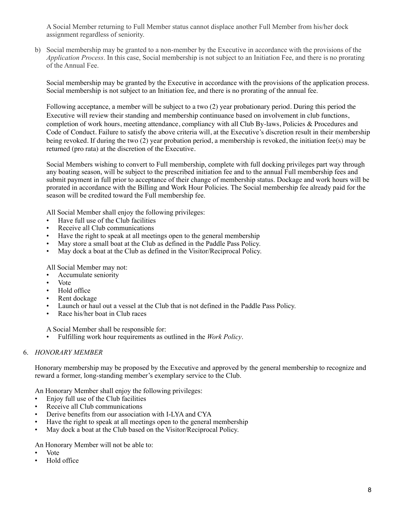A Social Member returning to Full Member status cannot displace another Full Member from his/her dock assignment regardless of seniority.

b) Social membership may be granted to a non-member by the Executive in accordance with the provisions of the *Application Process*. In this case, Social membership is not subject to an Initiation Fee, and there is no prorating of the Annual Fee.

Social membership may be granted by the Executive in accordance with the provisions of the application process. Social membership is not subject to an Initiation fee, and there is no prorating of the annual fee.

Following acceptance, a member will be subject to a two (2) year probationary period. During this period the Executive will review their standing and membership continuance based on involvement in club functions, completion of work hours, meeting attendance, compliancy with all Club By-laws, Policies & Procedures and Code of Conduct. Failure to satisfy the above criteria will, at the Executive's discretion result in their membership being revoked. If during the two (2) year probation period, a membership is revoked, the initiation fee(s) may be returned (pro rata) at the discretion of the Executive.

Social Members wishing to convert to Full membership, complete with full docking privileges part way through any boating season, will be subject to the prescribed initiation fee and to the annual Full membership fees and submit payment in full prior to acceptance of their change of membership status. Dockage and work hours will be prorated in accordance with the Billing and Work Hour Policies. The Social membership fee already paid for the season will be credited toward the Full membership fee.

All Social Member shall enjoy the following privileges:

- Have full use of the Club facilities
- Receive all Club communications
- Have the right to speak at all meetings open to the general membership
- May store a small boat at the Club as defined in the Paddle Pass Policy.
- May dock a boat at the Club as defined in the Visitor/Reciprocal Policy.

All Social Member may not:

- Accumulate seniority
- Vote
- Hold office
- Rent dockage
- Launch or haul out a vessel at the Club that is not defined in the Paddle Pass Policy.
- Race his/her boat in Club races

A Social Member shall be responsible for:

• Fulfilling work hour requirements as outlined in the *Work Policy*.

# 6. *HONORARY MEMBER*

Honorary membership may be proposed by the Executive and approved by the general membership to recognize and reward a former, long-standing member's exemplary service to the Club.

An Honorary Member shall enjoy the following privileges:

- Enjoy full use of the Club facilities
- Receive all Club communications
- Derive benefits from our association with I-LYA and CYA
- Have the right to speak at all meetings open to the general membership
- May dock a boat at the Club based on the Visitor/Reciprocal Policy.

# An Honorary Member will not be able to:

- Vote
- Hold office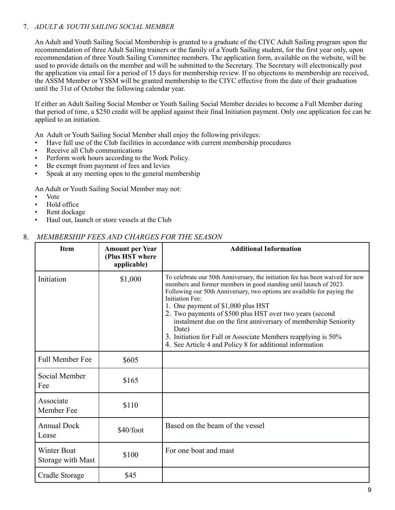# 7. *ADULT & YOUTH SAILING SOCIAL MEMBER*

An Adult and Youth Sailing Social Membership is granted to a graduate of the CIYC Adult Sailing program upon the recommendation of three Adult Sailing trainers or the family of a Youth Sailing student, for the first year only, upon recommendation of three Youth Sailing Committee members. The application form, available on the website, will be used to provide details on the member and will be submitted to the Secretary. The Secretary will electronically post the application via email for a period of 15 days for membership review. If no objections to membership are received, the ASSM Member or YSSM will be granted membership to the CIYC effective from the date of their graduation until the 31st of October the following calendar year.

If either an Adult Sailing Social Member or Youth Sailing Social Member decides to become a Full Member during that period of time, a \$250 credit will be applied against their final Initiation payment. Only one application fee can be applied to an initiation.

An Adult or Youth Sailing Social Member shall enjoy the following privileges:

- Have full use of the Club facilities in accordance with current membership procedures
- Receive all Club communications
- Perform work hours according to the Work Policy.
- Be exempt from payment of fees and levies
- Speak at any meeting open to the general membership

An Adult or Youth Sailing Social Member may not:

- Vote
- Hold office
- Rent dockage
- Haul out, launch or store vessels at the Club

# 8. *MEMBERSHIP FEES AND CHARGES FOR THE SEASON*

| <b>Item</b>                             | <b>Amount per Year</b><br>(Plus HST where<br>applicable) | <b>Additional Information</b>                                                                                                                                                                                                                                                                                                                                                                                                                                                                                                                                |
|-----------------------------------------|----------------------------------------------------------|--------------------------------------------------------------------------------------------------------------------------------------------------------------------------------------------------------------------------------------------------------------------------------------------------------------------------------------------------------------------------------------------------------------------------------------------------------------------------------------------------------------------------------------------------------------|
| Initiation                              | \$1,000                                                  | To celebrate our 50th Anniversary, the initiation fee has been waived for new<br>members and former members in good standing until launch of 2023.<br>Following our 50th Anniversary, two options are available for paying the<br>Initiation Fee:<br>1. One payment of \$1,000 plus HST<br>2. Two payments of \$500 plus HST over two years (second<br>instalment due on the first anniversary of membership Seniority<br>Date)<br>3. Initiation for Full or Associate Members reapplying is 50%<br>4. See Article 4 and Policy 8 for additional information |
| <b>Full Member Fee</b>                  | \$605                                                    |                                                                                                                                                                                                                                                                                                                                                                                                                                                                                                                                                              |
| Social Member<br>Fee                    | \$165                                                    |                                                                                                                                                                                                                                                                                                                                                                                                                                                                                                                                                              |
| Associate<br>Member Fee                 | \$110                                                    |                                                                                                                                                                                                                                                                                                                                                                                                                                                                                                                                                              |
| <b>Annual Dock</b><br>Lease             | \$40/foot                                                | Based on the beam of the vessel                                                                                                                                                                                                                                                                                                                                                                                                                                                                                                                              |
| <b>Winter Boat</b><br>Storage with Mast | \$100                                                    | For one boat and mast                                                                                                                                                                                                                                                                                                                                                                                                                                                                                                                                        |
| Cradle Storage                          | \$45                                                     |                                                                                                                                                                                                                                                                                                                                                                                                                                                                                                                                                              |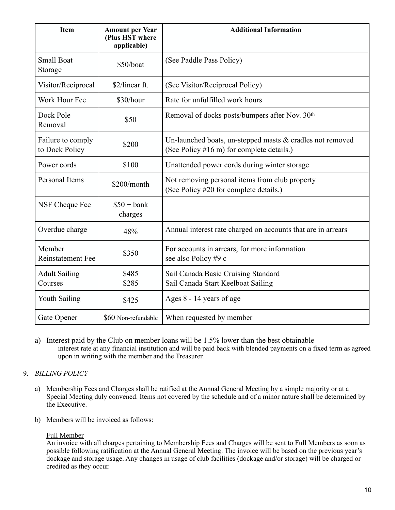| Item                                | <b>Amount per Year</b><br>(Plus HST where<br>applicable) | <b>Additional Information</b>                                                                          |
|-------------------------------------|----------------------------------------------------------|--------------------------------------------------------------------------------------------------------|
| <b>Small Boat</b><br>Storage        | \$50/boat                                                | (See Paddle Pass Policy)                                                                               |
| Visitor/Reciprocal                  | \$2/linear ft.                                           | (See Visitor/Reciprocal Policy)                                                                        |
| Work Hour Fee                       | \$30/hour                                                | Rate for unfulfilled work hours                                                                        |
| Dock Pole<br>Removal                | \$50                                                     | Removal of docks posts/bumpers after Nov. 30th                                                         |
| Failure to comply<br>to Dock Policy | \$200                                                    | Un-launched boats, un-stepped masts & cradles not removed<br>(See Policy #16 m) for complete details.) |
| Power cords                         | \$100                                                    | Unattended power cords during winter storage                                                           |
| <b>Personal Items</b>               | \$200/month                                              | Not removing personal items from club property<br>(See Policy #20 for complete details.)               |
| NSF Cheque Fee                      | $$50 + bank$<br>charges                                  |                                                                                                        |
| Overdue charge                      | 48%                                                      | Annual interest rate charged on accounts that are in arrears                                           |
| Member<br><b>Reinstatement Fee</b>  | \$350                                                    | For accounts in arrears, for more information<br>see also Policy #9 c                                  |
| <b>Adult Sailing</b><br>Courses     | \$485<br>\$285                                           | Sail Canada Basic Cruising Standard<br>Sail Canada Start Keelboat Sailing                              |
| <b>Youth Sailing</b>                | \$425                                                    | Ages 8 - 14 years of age                                                                               |
| Gate Opener                         | \$60 Non-refundable                                      | When requested by member                                                                               |

a) Interest paid by the Club on member loans will be 1.5% lower than the best obtainable interest rate at any financial institution and will be paid back with blended payments on a fixed term as agreed upon in writing with the member and the Treasurer.

# 9. *BILLING POLICY*

- a) Membership Fees and Charges shall be ratified at the Annual General Meeting by a simple majority or at a Special Meeting duly convened. Items not covered by the schedule and of a minor nature shall be determined by the Executive.
- b) Members will be invoiced as follows:

# Full Member

An invoice with all charges pertaining to Membership Fees and Charges will be sent to Full Members as soon as possible following ratification at the Annual General Meeting. The invoice will be based on the previous year's dockage and storage usage. Any changes in usage of club facilities (dockage and/or storage) will be charged or credited as they occur.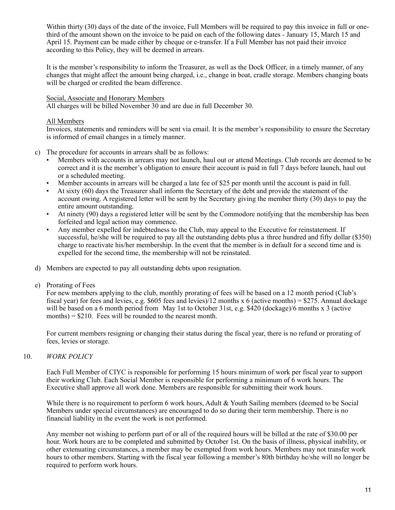Within thirty (30) days of the date of the invoice, Full Members will be required to pay this invoice in full or onethird of the amount shown on the invoice to be paid on each of the following dates - January 15, March 15 and April 15. Payment can be made either by cheque or e-transfer. If a Full Member has not paid their invoice according to this Policy, they will be deemed in arrears.

It is the member's responsibility to inform the Treasurer, as well as the Dock Officer, in a timely manner, of any changes that might affect the amount being charged, i.e., change in boat, cradle storage. Members changing boats will be charged or credited the beam difference.

#### Social, Associate and Honorary Members

All charges will be billed November 30 and are due in full December 30.

#### All Members

Invoices, statements and reminders will be sent via email. It is the member's responsibility to ensure the Secretary is informed of email changes in a timely manner.

- c) The procedure for accounts in arrears shall be as follows:
	- Members with accounts in arrears may not launch, haul out or attend Meetings. Club records are deemed to be correct and it is the member's obligation to ensure their account is paid in full 7 days before launch, haul out or a scheduled meeting.
	- Member accounts in arrears will be charged a late fee of \$25 per month until the account is paid in full.
	- At sixty (60) days the Treasurer shall inform the Secretary of the debt and provide the statement of the account owing. A registered letter will be sent by the Secretary giving the member thirty (30) days to pay the entire amount outstanding.
	- At ninety (90) days a registered letter will be sent by the Commodore notifying that the membership has been forfeited and legal action may commence.
	- Any member expelled for indebtedness to the Club, may appeal to the Executive for reinstatement. If successful, he/she will be required to pay all the outstanding debts plus a three hundred and fifty dollar (\$350) charge to reactivate his/her membership. In the event that the member is in default for a second time and is expelled for the second time, the membership will not be reinstated.
- d) Members are expected to pay all outstanding debts upon resignation.
- e) Prorating of Fees

For new members applying to the club, monthly prorating of fees will be based on a 12 month period (Club's fiscal year) for fees and levies, e.g. \$605 fees and levies)/12 months x 6 (active months) =  $$27\overline{5}$ . Annual dockage will be based on a 6 month period from May 1st to October 31st, e.g. \$420 (dockage)/6 months x 3 (active months)  $= $210$ . Fees will be rounded to the nearest month.

For current members resigning or changing their status during the fiscal year, there is no refund or prorating of fees, levies or storage.

#### 10. *WORK POLICY*

Each Full Member of CIYC is responsible for performing 15 hours minimum of work per fiscal year to support their working Club. Each Social Member is responsible for performing a minimum of 6 work hours. The Executive shall approve all work done. Members are responsible for submitting their work hours.

While there is no requirement to perform 6 work hours, Adult & Youth Sailing members (deemed to be Social Members under special circumstances) are encouraged to do so during their term membership. There is no financial liability in the event the work is not performed.

Any member not wishing to perform part of or all of the required hours will be billed at the rate of \$30.00 per hour. Work hours are to be completed and submitted by October 1st. On the basis of illness, physical inability, or other extenuating circumstances, a member may be exempted from work hours. Members may not transfer work hours to other members. Starting with the fiscal year following a member's 80th birthday he/she will no longer be required to perform work hours.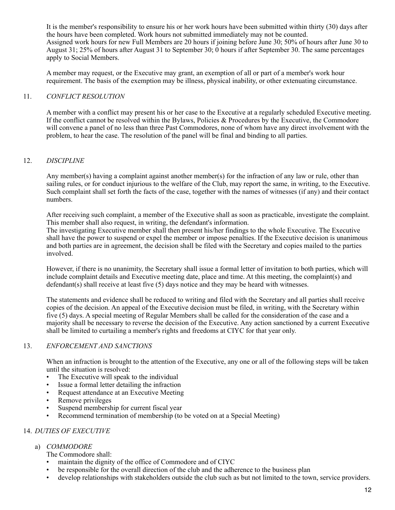It is the member's responsibility to ensure his or her work hours have been submitted within thirty (30) days after the hours have been completed. Work hours not submitted immediately may not be counted. Assigned work hours for new Full Members are 20 hours if joining before June 30; 50% of hours after June 30 to August 31; 25% of hours after August 31 to September 30; 0 hours if after September 30. The same percentages apply to Social Members.

A member may request, or the Executive may grant, an exemption of all or part of a member's work hour requirement. The basis of the exemption may be illness, physical inability, or other extenuating circumstance.

#### 11. *CONFLICT RESOLUTION*

A member with a conflict may present his or her case to the Executive at a regularly scheduled Executive meeting. If the conflict cannot be resolved within the Bylaws, Policies & Procedures by the Executive, the Commodore will convene a panel of no less than three Past Commodores, none of whom have any direct involvement with the problem, to hear the case. The resolution of the panel will be final and binding to all parties.

#### 12. *DISCIPLINE*

Any member(s) having a complaint against another member(s) for the infraction of any law or rule, other than sailing rules, or for conduct injurious to the welfare of the Club, may report the same, in writing, to the Executive. Such complaint shall set forth the facts of the case, together with the names of witnesses (if any) and their contact numbers.

After receiving such complaint, a member of the Executive shall as soon as practicable, investigate the complaint. This member shall also request, in writing, the defendant's information.

The investigating Executive member shall then present his/her findings to the whole Executive. The Executive shall have the power to suspend or expel the member or impose penalties. If the Executive decision is unanimous and both parties are in agreement, the decision shall be filed with the Secretary and copies mailed to the parties involved.

However, if there is no unanimity, the Secretary shall issue a formal letter of invitation to both parties, which will include complaint details and Executive meeting date, place and time. At this meeting, the complaint(s) and defendant(s) shall receive at least five (5) days notice and they may be heard with witnesses.

The statements and evidence shall be reduced to writing and filed with the Secretary and all parties shall receive copies of the decision. An appeal of the Executive decision must be filed, in writing, with the Secretary within five (5) days. A special meeting of Regular Members shall be called for the consideration of the case and a majority shall be necessary to reverse the decision of the Executive. Any action sanctioned by a current Executive shall be limited to curtailing a member's rights and freedoms at CIYC for that year only.

#### 13. *ENFORCEMENT AND SANCTIONS*

When an infraction is brought to the attention of the Executive, any one or all of the following steps will be taken until the situation is resolved:

- The Executive will speak to the individual
- Issue a formal letter detailing the infraction
- Request attendance at an Executive Meeting
- Remove privileges
- Suspend membership for current fiscal year
- Recommend termination of membership (to be voted on at a Special Meeting)

#### 14. *DUTIES OF EXECUTIVE*

# a) *COMMODORE*

- The Commodore shall:
- maintain the dignity of the office of Commodore and of CIYC
- be responsible for the overall direction of the club and the adherence to the business plan
- develop relationships with stakeholders outside the club such as but not limited to the town, service providers.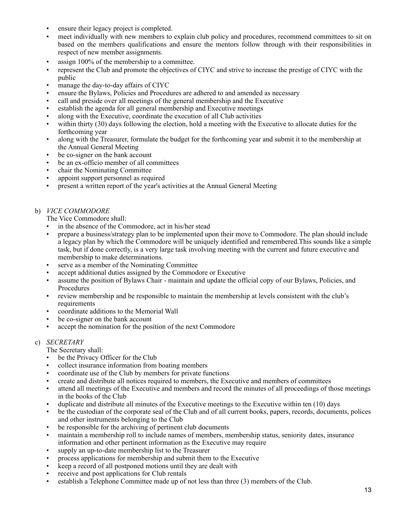- ensure their legacy project is completed.
- meet individually with new members to explain club policy and procedures, recommend committees to sit on based on the members qualifications and ensure the mentors follow through with their responsibilities in respect of new member assignments.
- assign 100% of the membership to a committee.
- represent the Club and promote the objectives of CIYC and strive to increase the prestige of CIYC with the public
- manage the day-to-day affairs of CIYC
- ensure the Bylaws, Policies and Procedures are adhered to and amended as necessary
- call and preside over all meetings of the general membership and the Executive
- establish the agenda for all general membership and Executive meetings
- along with the Executive, coordinate the execution of all Club activities
- within thirty (30) days following the election, hold a meeting with the Executive to allocate duties for the forthcoming year
- along with the Treasurer, formulate the budget for the forthcoming year and submit it to the membership at the Annual General Meeting
- be co-signer on the bank account
- be an ex-officio member of all committees
- chair the Nominating Committee
- appoint support personnel as required
- present a written report of the year's activities at the Annual General Meeting

#### b) *VICE COMMODORE*

The Vice Commodore shall:

- in the absence of the Commodore, act in his/her stead
- prepare a business/strategy plan to be implemented upon their move to Commodore. The plan should include a legacy plan by which the Commodore will be uniquely identified and remembered.This sounds like a simple task, but if done correctly, is a very large task involving meeting with the current and future executive and membership to make determinations.
- serve as a member of the Nominating Committee
- accept additional duties assigned by the Commodore or Executive
- assume the position of Bylaws Chair maintain and update the official copy of our Bylaws, Policies, and Procedures
- review membership and be responsible to maintain the membership at levels consistent with the club's requirements
- coordinate additions to the Memorial Wall
- be co-signer on the bank account
- accept the nomination for the position of the next Commodore

# c) *SECRETARY*

- The Secretary shall:
- be the Privacy Officer for the Club
- collect insurance information from boating members
- coordinate use of the Club by members for private functions
- create and distribute all notices required to members, the Executive and members of committees
- attend all meetings of the Executive and members and record the minutes of all proceedings of those meetings in the books of the Club
- duplicate and distribute all minutes of the Executive meetings to the Executive within ten (10) days
- be the custodian of the corporate seal of the Club and of all current books, papers, records, documents, polices and other instruments belonging to the Club
- be responsible for the archiving of pertinent club documents
- maintain a membership roll to include names of members, membership status, seniority dates, insurance information and other pertinent information as the Executive may require
- supply an up-to-date membership list to the Treasurer
- process applications for membership and submit them to the Executive
- keep a record of all postponed motions until they are dealt with
- receive and post applications for Club rentals
- establish a Telephone Committee made up of not less than three (3) members of the Club.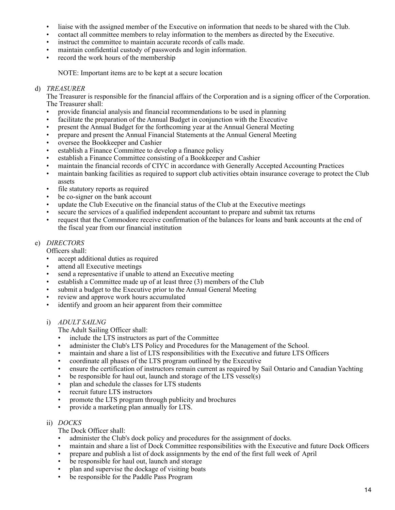- liaise with the assigned member of the Executive on information that needs to be shared with the Club.
- contact all committee members to relay information to the members as directed by the Executive.
- instruct the committee to maintain accurate records of calls made.
- maintain confidential custody of passwords and login information.
- record the work hours of the membership

NOTE: Important items are to be kept at a secure location

#### d) *TREASURER*

The Treasurer is responsible for the financial affairs of the Corporation and is a signing officer of the Corporation. The Treasurer shall:

- provide financial analysis and financial recommendations to be used in planning
- facilitate the preparation of the Annual Budget in conjunction with the Executive
- present the Annual Budget for the forthcoming year at the Annual General Meeting
- prepare and present the Annual Financial Statements at the Annual General Meeting
- oversee the Bookkeeper and Cashier
- establish a Finance Committee to develop a finance policy
- establish a Finance Committee consisting of a Bookkeeper and Cashier
- maintain the financial records of CIYC in accordance with Generally Accepted Accounting Practices
- maintain banking facilities as required to support club activities obtain insurance coverage to protect the Club assets
- file statutory reports as required
- be co-signer on the bank account
- update the Club Executive on the financial status of the Club at the Executive meetings
- secure the services of a qualified independent accountant to prepare and submit tax returns
- request that the Commodore receive confirmation of the balances for loans and bank accounts at the end of the fiscal year from our financial institution

# e) *DIRECTORS*

Officers shall:

- accept additional duties as required
- attend all Executive meetings
- send a representative if unable to attend an Executive meeting
- establish a Committee made up of at least three (3) members of the Club
- submit a budget to the Executive prior to the Annual General Meeting
- review and approve work hours accumulated
- identify and groom an heir apparent from their committee
- i) *ADULT SAILNG*

The Adult Sailing Officer shall:

- include the LTS instructors as part of the Committee
- administer the Club's LTS Policy and Procedures for the Management of the School.
- maintain and share a list of LTS responsibilities with the Executive and future LTS Officers
- coordinate all phases of the LTS program outlined by the Executive
- ensure the certification of instructors remain current as required by Sail Ontario and Canadian Yachting
- be responsible for haul out, launch and storage of the LTS vessel(s)
- plan and schedule the classes for LTS students
- recruit future LTS instructors
- promote the LTS program through publicity and brochures
- provide a marketing plan annually for LTS.

#### ii) *DOCKS*

The Dock Officer shall:

- administer the Club's dock policy and procedures for the assignment of docks.
- maintain and share a list of Dock Committee responsibilities with the Executive and future Dock Officers<br>• prepare and publish a list of dock assignments by the end of the first full week of April
- prepare and publish a list of dock assignments by the end of the first full week of April
- be responsible for haul out, launch and storage
- plan and supervise the dockage of visiting boats
- be responsible for the Paddle Pass Program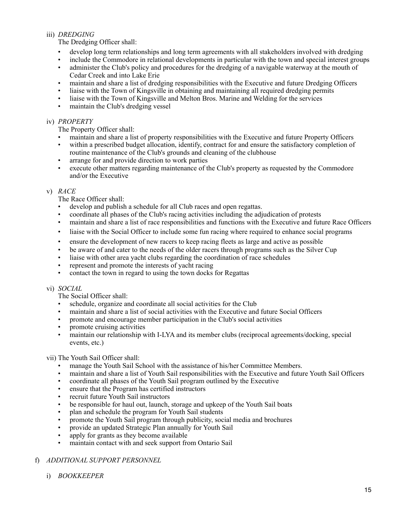# iii) *DREDGING*

The Dredging Officer shall:

- develop long term relationships and long term agreements with all stakeholders involved with dredging
- include the Commodore in relational developments in particular with the town and special interest groups
- administer the Club's policy and procedures for the dredging of a navigable waterway at the mouth of Cedar Creek and into Lake Erie
- maintain and share a list of dredging responsibilities with the Executive and future Dredging Officers
- liaise with the Town of Kingsville in obtaining and maintaining all required dredging permits
- liaise with the Town of Kingsville and Melton Bros. Marine and Welding for the services
- maintain the Club's dredging vessel

#### iv) *PROPERTY*

The Property Officer shall:

- maintain and share a list of property responsibilities with the Executive and future Property Officers
- within a prescribed budget allocation, identify, contract for and ensure the satisfactory completion of routine maintenance of the Club's grounds and cleaning of the clubhouse
- arrange for and provide direction to work parties
- execute other matters regarding maintenance of the Club's property as requested by the Commodore and/or the Executive

#### v) *RACE*

The Race Officer shall:

- develop and publish a schedule for all Club races and open regattas.
- coordinate all phases of the Club's racing activities including the adjudication of protests
- maintain and share a list of race responsibilities and functions with the Executive and future Race Officers
- liaise with the Social Officer to include some fun racing where required to enhance social programs
- ensure the development of new racers to keep racing fleets as large and active as possible
- be aware of and cater to the needs of the older racers through programs such as the Silver Cup
- liaise with other area yacht clubs regarding the coordination of race schedules
- represent and promote the interests of yacht racing
- contact the town in regard to using the town docks for Regattas

# vi) *SOCIAL*

The Social Officer shall:

- schedule, organize and coordinate all social activities for the Club
- maintain and share a list of social activities with the Executive and future Social Officers
- promote and encourage member participation in the Club's social activities
- promote cruising activities
- maintain our relationship with I-LYA and its member clubs (reciprocal agreements/docking, special events, etc.)

# vii) The Youth Sail Officer shall:

- manage the Youth Sail School with the assistance of his/her Committee Members.
- maintain and share a list of Youth Sail responsibilities with the Executive and future Youth Sail Officers
- coordinate all phases of the Youth Sail program outlined by the Executive
- ensure that the Program has certified instructors
- recruit future Youth Sail instructors
- be responsible for haul out, launch, storage and upkeep of the Youth Sail boats
- plan and schedule the program for Youth Sail students
- promote the Youth Sail program through publicity, social media and brochures
- provide an updated Strategic Plan annually for Youth Sail
- apply for grants as they become available
- maintain contact with and seek support from Ontario Sail

# f) *ADDITIONAL SUPPORT PERSONNEL*

i) *BOOKKEEPER*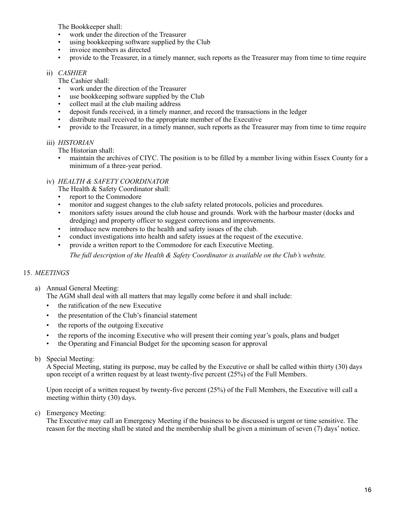The Bookkeeper shall:

- work under the direction of the Treasurer<br>• using bookkeeping software supplied by t
- using bookkeeping software supplied by the Club
- invoice members as directed
- provide to the Treasurer, in a timely manner, such reports as the Treasurer may from time to time require

#### ii) *CASHIER*

The Cashier shall:

- work under the direction of the Treasurer
- use bookkeeping software supplied by the Club
- collect mail at the club mailing address
- deposit funds received, in a timely manner, and record the transactions in the ledger
- distribute mail received to the appropriate member of the Executive<br>• provide to the Treasurer in a timely manner such reports as the Trea
- provide to the Treasurer, in a timely manner, such reports as the Treasurer may from time to time require

#### iii) *HISTORIAN*

The Historian shall:

• maintain the archives of CIYC. The position is to be filled by a member living within Essex County for a minimum of a three-year period.

#### iv) *HEALTH & SAFETY COORDINATOR*

- The Health & Safety Coordinator shall:
- report to the Commodore
- monitor and suggest changes to the club safety related protocols, policies and procedures.
- monitors safety issues around the club house and grounds. Work with the harbour master (docks and dredging) and property officer to suggest corrections and improvements.
- introduce new members to the health and safety issues of the club.
- conduct investigations into health and safety issues at the request of the executive.
- provide a written report to the Commodore for each Executive Meeting.

*The full description of the Health & Safety Coordinator is available on the Club's website.*

# 15. *MEETINGS*

- a) Annual General Meeting:
	- The AGM shall deal with all matters that may legally come before it and shall include:
	- the ratification of the new Executive
	- the presentation of the Club's financial statement
	- the reports of the outgoing Executive
	- the reports of the incoming Executive who will present their coming year's goals, plans and budget
	- the Operating and Financial Budget for the upcoming season for approval

#### b) Special Meeting:

A Special Meeting, stating its purpose, may be called by the Executive or shall be called within thirty (30) days upon receipt of a written request by at least twenty-five percent (25%) of the Full Members.

Upon receipt of a written request by twenty-five percent (25%) of the Full Members, the Executive will call a meeting within thirty (30) days.

c) Emergency Meeting:

The Executive may call an Emergency Meeting if the business to be discussed is urgent or time sensitive. The reason for the meeting shall be stated and the membership shall be given a minimum of seven (7) days' notice.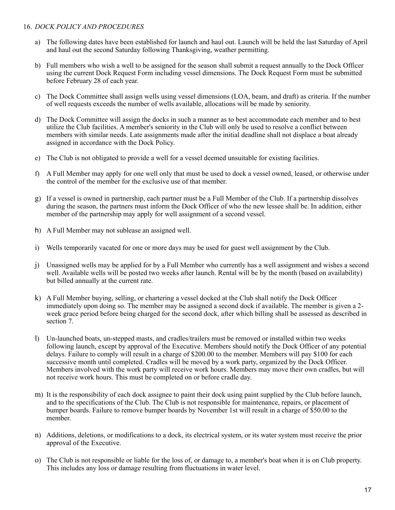# 16. *DOCK POLICY AND PROCEDURES*

- a) The following dates have been established for launch and haul out. Launch will be held the last Saturday of April and haul out the second Saturday following Thanksgiving, weather permitting.
- b) Full members who wish a well to be assigned for the season shall submit a request annually to the Dock Officer using the current Dock Request Form including vessel dimensions. The Dock Request Form must be submitted before February 28 of each year.
- c) The Dock Committee shall assign wells using vessel dimensions (LOA, beam, and draft) as criteria. If the number of well requests exceeds the number of wells available, allocations will be made by seniority.
- d) The Dock Committee will assign the docks in such a manner as to best accommodate each member and to best utilize the Club facilities. A member's seniority in the Club will only be used to resolve a conflict between members with similar needs. Late assignments made after the initial deadline shall not displace a boat already assigned in accordance with the Dock Policy.
- e) The Club is not obligated to provide a well for a vessel deemed unsuitable for existing facilities.
- f) A Full Member may apply for one well only that must be used to dock a vessel owned, leased, or otherwise under the control of the member for the exclusive use of that member.
- g) If a vessel is owned in partnership, each partner must be a Full Member of the Club. If a partnership dissolves during the season, the partners must inform the Dock Officer of who the new lessee shall be. In addition, either member of the partnership may apply for well assignment of a second vessel.
- h) A Full Member may not sublease an assigned well.
- i) Wells temporarily vacated for one or more days may be used for guest well assignment by the Club.
- j) Unassigned wells may be applied for by a Full Member who currently has a well assignment and wishes a second well. Available wells will be posted two weeks after launch. Rental will be by the month (based on availability) but billed annually at the current rate.
- k) A Full Member buying, selling, or chartering a vessel docked at the Club shall notify the Dock Officer immediately upon doing so. The member may be assigned a second dock if available. The member is given a 2 week grace period before being charged for the second dock, after which billing shall be assessed as described in section 7.
- l) Un-launched boats, un-stepped masts, and cradles/trailers must be removed or installed within two weeks following launch, except by approval of the Executive. Members should notify the Dock Officer of any potential delays. Failure to comply will result in a charge of \$200.00 to the member. Members will pay \$100 for each successive month until completed. Cradles will be moved by a work party, organized by the Dock Officer. Members involved with the work party will receive work hours. Members may move their own cradles, but will not receive work hours. This must be completed on or before cradle day.
- m) It is the responsibility of each dock assignee to paint their dock using paint supplied by the Club before launch, and to the specifications of the Club. The Club is not responsible for maintenance, repairs, or placement of bumper boards. Failure to remove bumper boards by November 1st will result in a charge of \$50.00 to the member.
- n) Additions, deletions, or modifications to a dock, its electrical system, or its water system must receive the prior approval of the Executive.
- o) The Club is not responsible or liable for the loss of, or damage to, a member's boat when it is on Club property. This includes any loss or damage resulting from fluctuations in water level.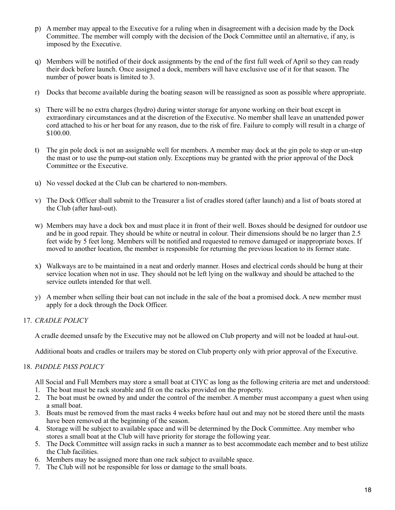- p) A member may appeal to the Executive for a ruling when in disagreement with a decision made by the Dock Committee. The member will comply with the decision of the Dock Committee until an alternative, if any, is imposed by the Executive.
- q) Members will be notified of their dock assignments by the end of the first full week of April so they can ready their dock before launch. Once assigned a dock, members will have exclusive use of it for that season. The number of power boats is limited to 3.
- r) Docks that become available during the boating season will be reassigned as soon as possible where appropriate.
- s) There will be no extra charges (hydro) during winter storage for anyone working on their boat except in extraordinary circumstances and at the discretion of the Executive. No member shall leave an unattended power cord attached to his or her boat for any reason, due to the risk of fire. Failure to comply will result in a charge of \$100.00.
- t) The gin pole dock is not an assignable well for members. A member may dock at the gin pole to step or un-step the mast or to use the pump-out station only. Exceptions may be granted with the prior approval of the Dock Committee or the Executive.
- u) No vessel docked at the Club can be chartered to non-members.
- v) The Dock Officer shall submit to the Treasurer a list of cradles stored (after launch) and a list of boats stored at the Club (after haul-out).
- w) Members may have a dock box and must place it in front of their well. Boxes should be designed for outdoor use and be in good repair. They should be white or neutral in colour. Their dimensions should be no larger than 2.5 feet wide by 5 feet long. Members will be notified and requested to remove damaged or inappropriate boxes. If moved to another location, the member is responsible for returning the previous location to its former state.
- x) Walkways are to be maintained in a neat and orderly manner. Hoses and electrical cords should be hung at their service location when not in use. They should not be left lying on the walkway and should be attached to the service outlets intended for that well.
- y) A member when selling their boat can not include in the sale of the boat a promised dock. A new member must apply for a dock through the Dock Officer.

# 17. *CRADLE POLICY*

A cradle deemed unsafe by the Executive may not be allowed on Club property and will not be loaded at haul-out.

Additional boats and cradles or trailers may be stored on Club property only with prior approval of the Executive.

# 18. *PADDLE PASS POLICY*

All Social and Full Members may store a small boat at CIYC as long as the following criteria are met and understood: 1. The boat must be rack storable and fit on the racks provided on the property.

- 2. The boat must be owned by and under the control of the member. A member must accompany a guest when using a small boat.
- 3. Boats must be removed from the mast racks 4 weeks before haul out and may not be stored there until the masts have been removed at the beginning of the season.
- 4. Storage will be subject to available space and will be determined by the Dock Committee. Any member who stores a small boat at the Club will have priority for storage the following year.
- 5. The Dock Committee will assign racks in such a manner as to best accommodate each member and to best utilize the Club facilities.
- 6. Members may be assigned more than one rack subject to available space.
- 7. The Club will not be responsible for loss or damage to the small boats.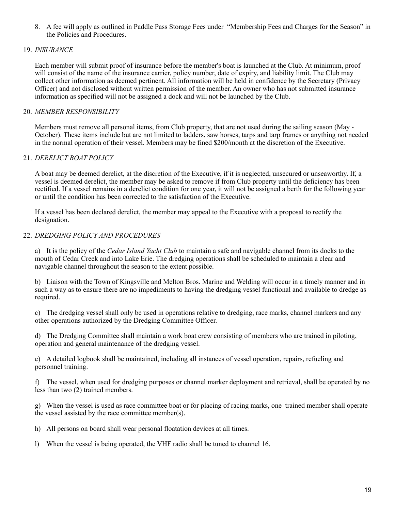8. A fee will apply as outlined in Paddle Pass Storage Fees under "Membership Fees and Charges for the Season" in the Policies and Procedures.

# 19. *INSURANCE*

Each member will submit proof of insurance before the member's boat is launched at the Club. At minimum, proof will consist of the name of the insurance carrier, policy number, date of expiry, and liability limit. The Club may collect other information as deemed pertinent. All information will be held in confidence by the Secretary (Privacy Officer) and not disclosed without written permission of the member. An owner who has not submitted insurance information as specified will not be assigned a dock and will not be launched by the Club.

# 20. *MEMBER RESPONSIBILITY*

Members must remove all personal items, from Club property, that are not used during the sailing season (May - October). These items include but are not limited to ladders, saw horses, tarps and tarp frames or anything not needed in the normal operation of their vessel. Members may be fined \$200/month at the discretion of the Executive.

# 21. *DERELICT BOAT POLICY*

A boat may be deemed derelict, at the discretion of the Executive, if it is neglected, unsecured or unseaworthy. If, a vessel is deemed derelict, the member may be asked to remove if from Club property until the deficiency has been rectified. If a vessel remains in a derelict condition for one year, it will not be assigned a berth for the following year or until the condition has been corrected to the satisfaction of the Executive.

If a vessel has been declared derelict, the member may appeal to the Executive with a proposal to rectify the designation.

# 22. *DREDGING POLICY AND PROCEDURES*

a) It is the policy of the *Cedar Island Yacht Club* to maintain a safe and navigable channel from its docks to the mouth of Cedar Creek and into Lake Erie. The dredging operations shall be scheduled to maintain a clear and navigable channel throughout the season to the extent possible.

b) Liaison with the Town of Kingsville and Melton Bros. Marine and Welding will occur in a timely manner and in such a way as to ensure there are no impediments to having the dredging vessel functional and available to dredge as required.

c) The dredging vessel shall only be used in operations relative to dredging, race marks, channel markers and any other operations authorized by the Dredging Committee Officer.

d) The Dredging Committee shall maintain a work boat crew consisting of members who are trained in piloting, operation and general maintenance of the dredging vessel.

e) A detailed logbook shall be maintained, including all instances of vessel operation, repairs, refueling and personnel training.

f) The vessel, when used for dredging purposes or channel marker deployment and retrieval, shall be operated by no less than two (2) trained members.

g) When the vessel is used as race committee boat or for placing of racing marks, one trained member shall operate the vessel assisted by the race committee member(s).

- h) All persons on board shall wear personal floatation devices at all times.
- l) When the vessel is being operated, the VHF radio shall be tuned to channel 16.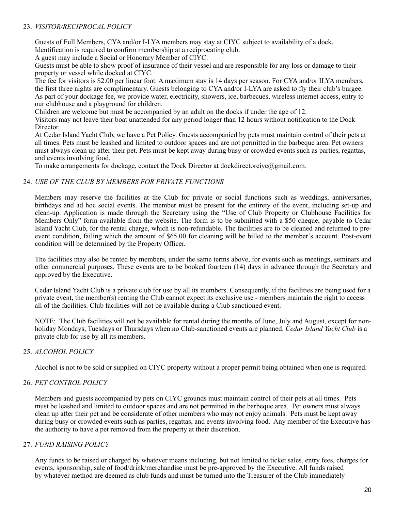# 23. *VISITOR/RECIPROCAL POLICY*

Guests of Full Members, CYA and/or I-LYA members may stay at CIYC subject to availability of a dock.

Identification is required to confirm membership at a reciprocating club.

A guest may include a Social or Honorary Member of CIYC.

Guests must be able to show proof of insurance of their vessel and are responsible for any loss or damage to their property or vessel while docked at CIYC.

The fee for visitors is \$2.00 per linear foot. A maximum stay is 14 days per season. For CYA and/or ILYA members, the first three nights are complimentary. Guests belonging to CYA and/or I-LYA are asked to fly their club's burgee. As part of your dockage fee, we provide water, electricity, showers, ice, barbecues, wireless internet access, entry to our clubhouse and a playground for children.

Children are welcome but must be accompanied by an adult on the docks if under the age of 12.

Visitors may not leave their boat unattended for any period longer than 12 hours without notification to the Dock Director.

At Cedar Island Yacht Club, we have a Pet Policy. Guests accompanied by pets must maintain control of their pets at all times. Pets must be leashed and limited to outdoor spaces and are not permitted in the barbeque area. Pet owners must always clean up after their pet. Pets must be kept away during busy or crowded events such as parties, regattas, and events involving food.

To make arrangements for dockage, contact the Dock Director at [dockdirectorciyc@gmail.com.](mailto:dockdirectorciyc@gmail.com)

#### 24. *USE OF THE CLUB BY MEMBERS FOR PRIVATE FUNCTIONS*

Members may reserve the facilities at the Club for private or social functions such as weddings, anniversaries, birthdays and ad hoc social events. The member must be present for the entirety of the event, including set-up and clean-up. Application is made through the Secretary using the "Use of Club Property or Clubhouse Facilities for Members Only" form available from the website. The form is to be submitted with a \$50 cheque, payable to Cedar Island Yacht Club, for the rental charge, which is non-refundable. The facilities are to be cleaned and returned to preevent condition, failing which the amount of \$65.00 for cleaning will be billed to the member's account. Post-event condition will be determined by the Property Officer.

The facilities may also be rented by members, under the same terms above, for events such as meetings, seminars and other commercial purposes. These events are to be booked fourteen (14) days in advance through the Secretary and approved by the Executive.

Cedar Island Yacht Club is a private club for use by all its members. Consequently, if the facilities are being used for a private event, the member(s) renting the Club cannot expect its exclusive use - members maintain the right to access all of the facilities. Club facilities will not be available during a Club sanctioned event.

NOTE: The Club facilities will not be available for rental during the months of June, July and August, except for nonholiday Mondays, Tuesdays or Thursdays when no Club-sanctioned events are planned. *Cedar Island Yacht Club* is a private club for use by all its members.

# 25. *ALCOHOL POLICY*

Alcohol is not to be sold or supplied on CIYC property without a proper permit being obtained when one is required.

#### 26. *PET CONTROL POLICY*

Members and guests accompanied by pets on CIYC grounds must maintain control of their pets at all times. Pets must be leashed and limited to outdoor spaces and are not permitted in the barbeque area. Pet owners must always clean up after their pet and be considerate of other members who may not enjoy animals. Pets must be kept away during busy or crowded events such as parties, regattas, and events involving food. Any member of the Executive has the authority to have a pet removed from the property at their discretion.

# 27. *FUND RAISING POLICY*

Any funds to be raised or charged by whatever means including, but not limited to ticket sales, entry fees, charges for events, sponsorship, sale of food/drink/merchandise must be pre-approved by the Executive. All funds raised by whatever method are deemed as club funds and must be turned into the Treasurer of the Club immediately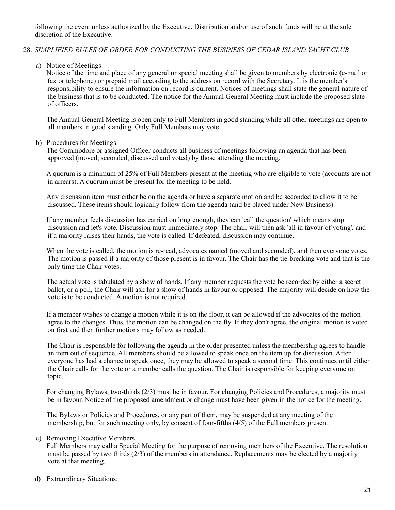following the event unless authorized by the Executive. Distribution and/or use of such funds will be at the sole discretion of the Executive.

# 28. *SIMPLIFIED RULES OF ORDER FOR CONDUCTING THE BUSINESS OF CEDAR ISLAND YACHT CLUB*

a) Notice of Meetings

Notice of the time and place of any general or special meeting shall be given to members by electronic (e-mail or fax or telephone) or prepaid mail according to the address on record with the Secretary. It is the member's responsibility to ensure the information on record is current. Notices of meetings shall state the general nature of the business that is to be conducted. The notice for the Annual General Meeting must include the proposed slate of officers.

The Annual General Meeting is open only to Full Members in good standing while all other meetings are open to all members in good standing. Only Full Members may vote.

#### b) Procedures for Meetings:

The Commodore or assigned Officer conducts all business of meetings following an agenda that has been approved (moved, seconded, discussed and voted) by those attending the meeting.

A quorum is a minimum of 25% of Full Members present at the meeting who are eligible to vote (accounts are not in arrears). A quorum must be present for the meeting to be held.

Any discussion item must either be on the agenda or have a separate motion and be seconded to allow it to be discussed. These items should logically follow from the agenda (and be placed under New Business).

If any member feels discussion has carried on long enough, they can 'call the question' which means stop discussion and let's vote. Discussion must immediately stop. The chair will then ask 'all in favour of voting', and if a majority raises their hands, the vote is called. If defeated, discussion may continue.

When the vote is called, the motion is re-read, advocates named (moved and seconded), and then everyone votes. The motion is passed if a majority of those present is in favour. The Chair has the tie-breaking vote and that is the only time the Chair votes.

The actual vote is tabulated by a show of hands. If any member requests the vote be recorded by either a secret ballot, or a poll, the Chair will ask for a show of hands in favour or opposed. The majority will decide on how the vote is to be conducted. A motion is not required.

If a member wishes to change a motion while it is on the floor, it can be allowed if the advocates of the motion agree to the changes. Thus, the motion can be changed on the fly. If they don't agree, the original motion is voted on first and then further motions may follow as needed.

The Chair is responsible for following the agenda in the order presented unless the membership agrees to handle an item out of sequence. All members should be allowed to speak once on the item up for discussion. After everyone has had a chance to speak once, they may be allowed to speak a second time. This continues until either the Chair calls for the vote or a member calls the question. The Chair is responsible for keeping everyone on topic.

For changing Bylaws, two-thirds (2/3) must be in favour. For changing Policies and Procedures, a majority must be in favour. Notice of the proposed amendment or change must have been given in the notice for the meeting.

The Bylaws or Policies and Procedures, or any part of them, may be suspended at any meeting of the membership, but for such meeting only, by consent of four-fifths (4/5) of the Full members present.

#### c) Removing Executive Members

Full Members may call a Special Meeting for the purpose of removing members of the Executive. The resolution must be passed by two thirds (2/3) of the members in attendance. Replacements may be elected by a majority vote at that meeting.

#### d) Extraordinary Situations: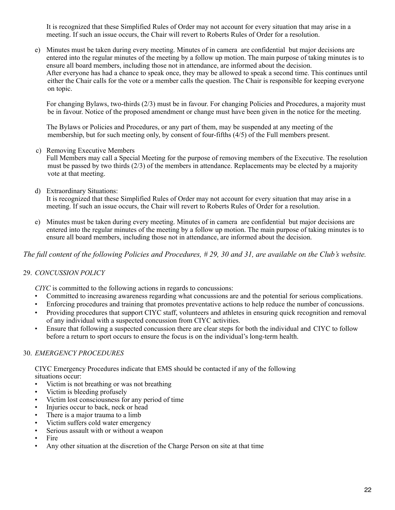It is recognized that these Simplified Rules of Order may not account for every situation that may arise in a meeting. If such an issue occurs, the Chair will revert to Roberts Rules of Order for a resolution.

e) Minutes must be taken during every meeting. Minutes of in camera are confidential but major decisions are entered into the regular minutes of the meeting by a follow up motion. The main purpose of taking minutes is to ensure all board members, including those not in attendance, are informed about the decision. After everyone has had a chance to speak once, they may be allowed to speak a second time. This continues until either the Chair calls for the vote or a member calls the question. The Chair is responsible for keeping everyone on topic.

For changing Bylaws, two-thirds (2/3) must be in favour. For changing Policies and Procedures, a majority must be in favour. Notice of the proposed amendment or change must have been given in the notice for the meeting.

The Bylaws or Policies and Procedures, or any part of them, may be suspended at any meeting of the membership, but for such meeting only, by consent of four-fifths (4/5) of the Full members present.

c) Removing Executive Members

Full Members may call a Special Meeting for the purpose of removing members of the Executive. The resolution must be passed by two thirds (2/3) of the members in attendance. Replacements may be elected by a majority vote at that meeting.

d) Extraordinary Situations:

It is recognized that these Simplified Rules of Order may not account for every situation that may arise in a meeting. If such an issue occurs, the Chair will revert to Roberts Rules of Order for a resolution.

e) Minutes must be taken during every meeting. Minutes of in camera are confidential but major decisions are entered into the regular minutes of the meeting by a follow up motion. The main purpose of taking minutes is to ensure all board members, including those not in attendance, are informed about the decision.

*The full content of the following Policies and Procedures, # 29, 30 and 31, are available on the Club's website.*

# 29. *CONCUSSION POLICY*

*CIYC* is committed to the following actions in regards to concussions:

- Committed to increasing awareness regarding what concussions are and the potential for serious complications.
- Enforcing procedures and training that promotes preventative actions to help reduce the number of concussions.
- Providing procedures that support CIYC staff, volunteers and athletes in ensuring quick recognition and removal of any individual with a suspected concussion from CIYC activities.
- Ensure that following a suspected concussion there are clear steps for both the individual and CIYC to follow before a return to sport occurs to ensure the focus is on the individual's long-term health.

# 30. *EMERGENCY PROCEDURES*

CIYC Emergency Procedures indicate that EMS should be contacted if any of the following situations occur:

- Victim is not breathing or was not breathing
- Victim is bleeding profusely
- Victim lost consciousness for any period of time
- Injuries occur to back, neck or head
- There is a major trauma to a limb
- Victim suffers cold water emergency
- Serious assault with or without a weapon
- Fire
- Any other situation at the discretion of the Charge Person on site at that time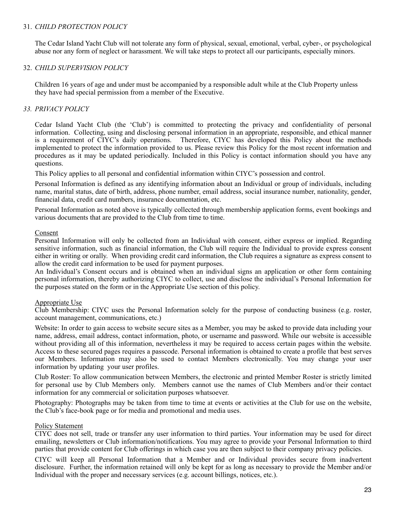#### 31. *CHILD PROTECTION POLICY*

The Cedar Island Yacht Club will not tolerate any form of physical, sexual, emotional, verbal, cyber-, or psychological abuse nor any form of neglect or harassment. We will take steps to protect all our participants, especially minors.

#### 32. *CHILD SUPERVISION POLICY*

Children 16 years of age and under must be accompanied by a responsible adult while at the Club Property unless they have had special permission from a member of the Executive.

#### *33. PRIVACY POLICY*

Cedar Island Yacht Club (the 'Club') is committed to protecting the privacy and confidentiality of personal information. Collecting, using and disclosing personal information in an appropriate, responsible, and ethical manner is a requirement of CIYC's daily operations. Therefore, CIYC has developed this Policy about the methods implemented to protect the information provided to us. Please review this Policy for the most recent information and procedures as it may be updated periodically. Included in this Policy is contact information should you have any questions.

This Policy applies to all personal and confidential information within CIYC's possession and control.

Personal Information is defined as any identifying information about an Individual or group of individuals, including name, marital status, date of birth, address, phone number, email address, social insurance number, nationality, gender, financial data, credit card numbers, insurance documentation, etc.

Personal Information as noted above is typically collected through membership application forms, event bookings and various documents that are provided to the Club from time to time.

#### Consent

Personal Information will only be collected from an Individual with consent, either express or implied. Regarding sensitive information, such as financial information, the Club will require the Individual to provide express consent either in writing or orally. When providing credit card information, the Club requires a signature as express consent to allow the credit card information to be used for payment purposes.

An Individual's Consent occurs and is obtained when an individual signs an application or other form containing personal information, thereby authorizing CIYC to collect, use and disclose the individual's Personal Information for the purposes stated on the form or in the Appropriate Use section of this policy.

#### Appropriate Use

Club Membership: CIYC uses the Personal Information solely for the purpose of conducting business (e.g. roster, account management, communications, etc.)

Website: In order to gain access to website secure sites as a Member, you may be asked to provide data including your name, address, email address, contact information, photo, or username and password. While our website is accessible without providing all of this information, nevertheless it may be required to access certain pages within the website. Access to these secured pages requires a passcode. Personal information is obtained to create a profile that best serves our Members. Information may also be used to contact Members electronically. You may change your user information by updating your user profiles.

Club Roster: To allow communication between Members, the electronic and printed Member Roster is strictly limited for personal use by Club Members only. Members cannot use the names of Club Members and/or their contact information for any commercial or solicitation purposes whatsoever.

Photography: Photographs may be taken from time to time at events or activities at the Club for use on the website, the Club's face-book page or for media and promotional and media uses.

#### Policy Statement

CIYC does not sell, trade or transfer any user information to third parties. Your information may be used for direct emailing, newsletters or Club information/notifications. You may agree to provide your Personal Information to third parties that provide content for Club offerings in which case you are then subject to their company privacy policies.

CIYC will keep all Personal Information that a Member and or Individual provides secure from inadvertent disclosure. Further, the information retained will only be kept for as long as necessary to provide the Member and/or Individual with the proper and necessary services (e.g. account billings, notices, etc.).